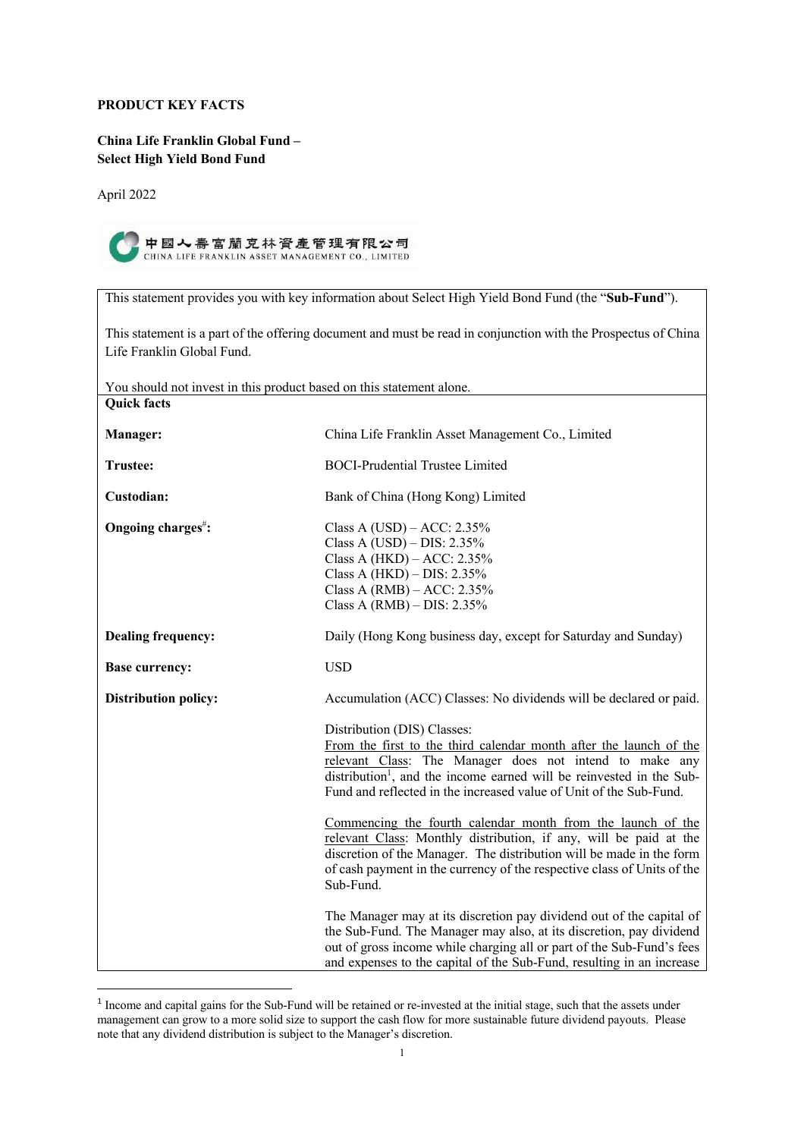# **PRODUCT KEY FACTS**

**China Life Franklin Global Fund – Select High Yield Bond Fund**

April 2022



| This statement provides you with key information about Select High Yield Bond Fund (the "Sub-Fund").                                         |                                                                                                                                                                                                                                                                                                                        |  |
|----------------------------------------------------------------------------------------------------------------------------------------------|------------------------------------------------------------------------------------------------------------------------------------------------------------------------------------------------------------------------------------------------------------------------------------------------------------------------|--|
| This statement is a part of the offering document and must be read in conjunction with the Prospectus of China<br>Life Franklin Global Fund. |                                                                                                                                                                                                                                                                                                                        |  |
| You should not invest in this product based on this statement alone.                                                                         |                                                                                                                                                                                                                                                                                                                        |  |
| <b>Quick facts</b>                                                                                                                           |                                                                                                                                                                                                                                                                                                                        |  |
| Manager:                                                                                                                                     | China Life Franklin Asset Management Co., Limited                                                                                                                                                                                                                                                                      |  |
| <b>Trustee:</b>                                                                                                                              | <b>BOCI-Prudential Trustee Limited</b>                                                                                                                                                                                                                                                                                 |  |
| Custodian:                                                                                                                                   | Bank of China (Hong Kong) Limited                                                                                                                                                                                                                                                                                      |  |
| Ongoing charges <sup>#</sup> :                                                                                                               | Class A (USD) – ACC: $2.35\%$<br>Class A (USD) - DIS: 2.35%<br>Class A (HKD) - ACC: 2.35%<br>Class A $(HKD)$ – DIS: 2.35%<br>Class A (RMB) $-$ ACC: 2.35%<br>Class A $(RMB)$ – DIS: 2.35%                                                                                                                              |  |
| <b>Dealing frequency:</b>                                                                                                                    | Daily (Hong Kong business day, except for Saturday and Sunday)                                                                                                                                                                                                                                                         |  |
| <b>Base currency:</b>                                                                                                                        | <b>USD</b>                                                                                                                                                                                                                                                                                                             |  |
| <b>Distribution policy:</b>                                                                                                                  | Accumulation (ACC) Classes: No dividends will be declared or paid.                                                                                                                                                                                                                                                     |  |
|                                                                                                                                              | Distribution (DIS) Classes:<br>From the first to the third calendar month after the launch of the<br>relevant Class: The Manager does not intend to make any<br>distribution <sup>1</sup> , and the income earned will be reinvested in the Sub-<br>Fund and reflected in the increased value of Unit of the Sub-Fund. |  |
|                                                                                                                                              | Commencing the fourth calendar month from the launch of the<br>relevant Class: Monthly distribution, if any, will be paid at the<br>discretion of the Manager. The distribution will be made in the form<br>of cash payment in the currency of the respective class of Units of the<br>Sub-Fund.                       |  |
|                                                                                                                                              | The Manager may at its discretion pay dividend out of the capital of<br>the Sub-Fund. The Manager may also, at its discretion, pay dividend<br>out of gross income while charging all or part of the Sub-Fund's fees<br>and expenses to the capital of the Sub-Fund, resulting in an increase                          |  |

 $<sup>1</sup>$  Income and capital gains for the Sub-Fund will be retained or re-invested at the initial stage, such that the assets under</sup> management can grow to a more solid size to support the cash flow for more sustainable future dividend payouts. Please note that any dividend distribution is subject to the Manager's discretion.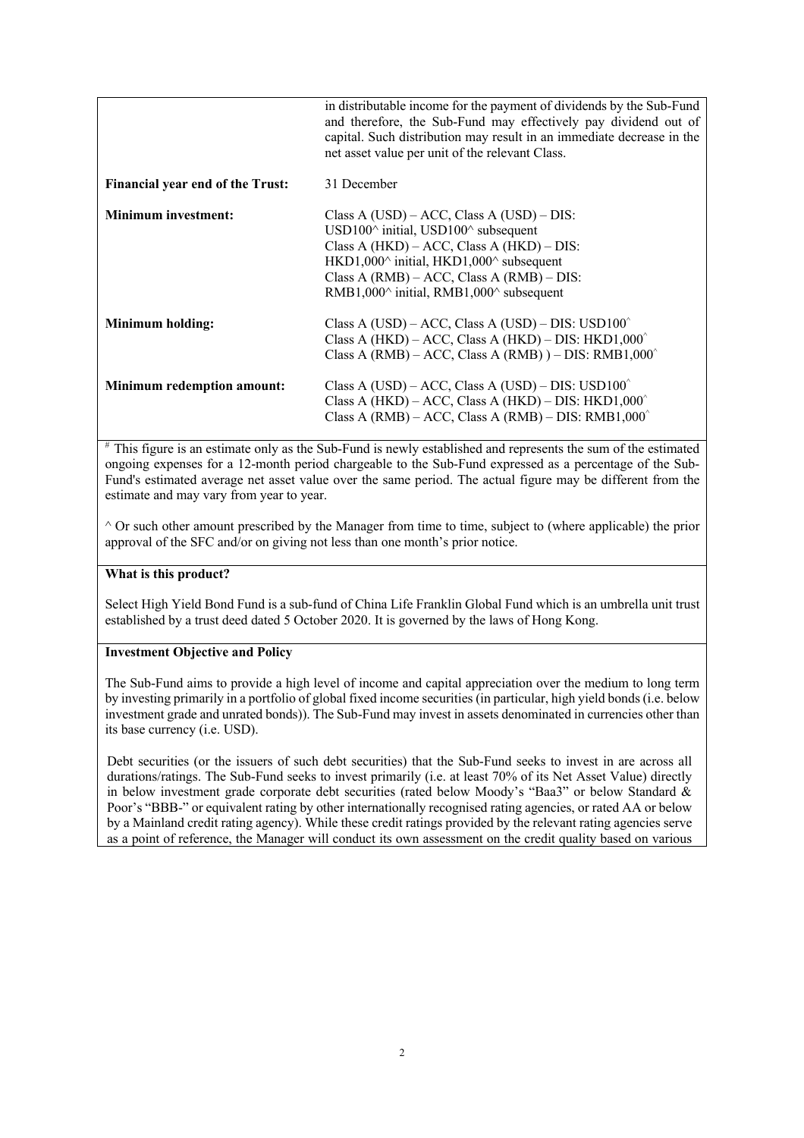|                                         | in distributable income for the payment of dividends by the Sub-Fund<br>and therefore, the Sub-Fund may effectively pay dividend out of<br>capital. Such distribution may result in an immediate decrease in the<br>net asset value per unit of the relevant Class.                                                      |
|-----------------------------------------|--------------------------------------------------------------------------------------------------------------------------------------------------------------------------------------------------------------------------------------------------------------------------------------------------------------------------|
| <b>Financial year end of the Trust:</b> | 31 December                                                                                                                                                                                                                                                                                                              |
| <b>Minimum investment:</b>              | Class A $(USD) - ACC$ , Class A $(USD) - DIS$ :<br>USD100 $\textdegree$ initial, USD100 $\textdegree$ subsequent<br>Class A $(HKD)$ – ACC, Class A $(HKD)$ – DIS:<br>HKD1,000^ initial, HKD1,000^ subsequent<br>Class A $(RMB) - ACC$ , Class A $(RMB) - DIS$ :<br>RMB1,000 $\land$ initial, RMB1,000 $\land$ subsequent |
| Minimum holding:                        | Class A (USD) – ACC, Class A (USD) – DIS: USD $100^{\circ}$<br>Class A (HKD) – ACC, Class A (HKD) – DIS: HKD1,000 $^{\circ}$<br>Class A (RMB) – ACC, Class A (RMB)) – DIS: RMB1,000 <sup><math>\hat{}</math></sup>                                                                                                       |
| <b>Minimum redemption amount:</b>       | Class A (USD) – ACC, Class A (USD) – DIS: USD $100^\circ$<br>Class A (HKD) – ACC, Class A (HKD) – DIS: HKD1,000 <sup><math>\hat{}</math></sup><br>Class A (RMB) – ACC, Class A (RMB) – DIS: RMB1,000 <sup><math>\hat{}</math></sup>                                                                                      |

# This figure is an estimate only as the Sub-Fund is newly established and represents the sum of the estimated ongoing expenses for a 12-month period chargeable to the Sub-Fund expressed as a percentage of the Sub-Fund's estimated average net asset value over the same period. The actual figure may be different from the estimate and may vary from year to year.

 $\hat{\ }$  Or such other amount prescribed by the Manager from time to time, subject to (where applicable) the prior approval of the SFC and/or on giving not less than one month's prior notice.

# **What is this product?**

Select High Yield Bond Fund is a sub-fund of China Life Franklin Global Fund which is an umbrella unit trust established by a trust deed dated 5 October 2020. It is governed by the laws of Hong Kong.

# **Investment Objective and Policy**

The Sub-Fund aims to provide a high level of income and capital appreciation over the medium to long term by investing primarily in a portfolio of global fixed income securities (in particular, high yield bonds (i.e. below investment grade and unrated bonds)). The Sub-Fund may invest in assets denominated in currencies other than its base currency (i.e. USD).

Debt securities (or the issuers of such debt securities) that the Sub-Fund seeks to invest in are across all durations/ratings. The Sub-Fund seeks to invest primarily (i.e. at least 70% of its Net Asset Value) directly in below investment grade corporate debt securities (rated below Moody's "Baa3" or below Standard & Poor's "BBB-" or equivalent rating by other internationally recognised rating agencies, or rated AA or below by a Mainland credit rating agency). While these credit ratings provided by the relevant rating agencies serve as a point of reference, the Manager will conduct its own assessment on the credit quality based on various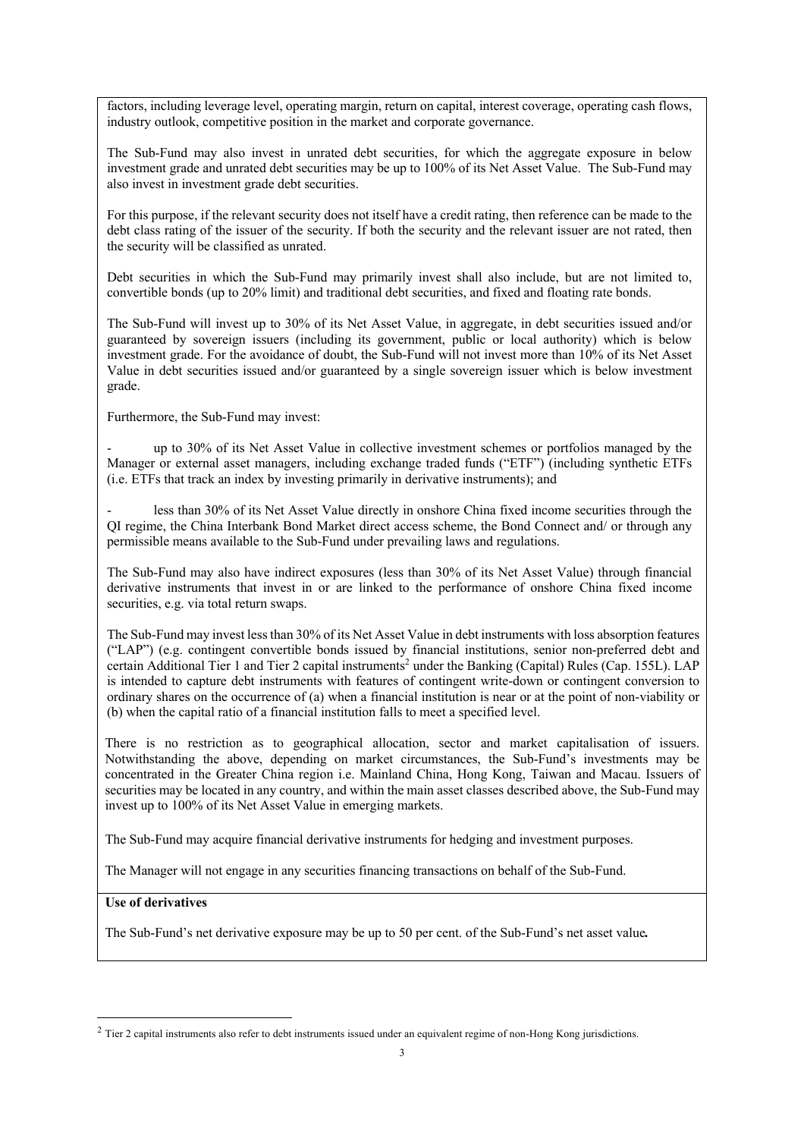factors, including leverage level, operating margin, return on capital, interest coverage, operating cash flows, industry outlook, competitive position in the market and corporate governance.

The Sub-Fund may also invest in unrated debt securities, for which the aggregate exposure in below investment grade and unrated debt securities may be up to 100% of its Net Asset Value. The Sub-Fund may also invest in investment grade debt securities.

For this purpose, if the relevant security does not itself have a credit rating, then reference can be made to the debt class rating of the issuer of the security. If both the security and the relevant issuer are not rated, then the security will be classified as unrated.

Debt securities in which the Sub-Fund may primarily invest shall also include, but are not limited to, convertible bonds (up to 20% limit) and traditional debt securities, and fixed and floating rate bonds.

The Sub-Fund will invest up to 30% of its Net Asset Value, in aggregate, in debt securities issued and/or guaranteed by sovereign issuers (including its government, public or local authority) which is below investment grade. For the avoidance of doubt, the Sub-Fund will not invest more than 10% of its Net Asset Value in debt securities issued and/or guaranteed by a single sovereign issuer which is below investment grade.

Furthermore, the Sub-Fund may invest:

up to 30% of its Net Asset Value in collective investment schemes or portfolios managed by the Manager or external asset managers, including exchange traded funds ("ETF") (including synthetic ETFs (i.e. ETFs that track an index by investing primarily in derivative instruments); and

less than 30% of its Net Asset Value directly in onshore China fixed income securities through the QI regime, the China Interbank Bond Market direct access scheme, the Bond Connect and/ or through any permissible means available to the Sub-Fund under prevailing laws and regulations.

The Sub-Fund may also have indirect exposures (less than 30% of its Net Asset Value) through financial derivative instruments that invest in or are linked to the performance of onshore China fixed income securities, e.g. via total return swaps.

The Sub-Fund may invest less than 30% of its Net Asset Value in debt instruments with loss absorption features ("LAP") (e.g. contingent convertible bonds issued by financial institutions, senior non-preferred debt and certain Additional Tier 1 and Tier 2 capital instruments<sup>2</sup> under the Banking (Capital) Rules (Cap. 155L). LAP is intended to capture debt instruments with features of contingent write-down or contingent conversion to ordinary shares on the occurrence of (a) when a financial institution is near or at the point of non-viability or (b) when the capital ratio of a financial institution falls to meet a specified level.

There is no restriction as to geographical allocation, sector and market capitalisation of issuers. Notwithstanding the above, depending on market circumstances, the Sub-Fund's investments may be concentrated in the Greater China region i.e. Mainland China, Hong Kong, Taiwan and Macau. Issuers of securities may be located in any country, and within the main asset classes described above, the Sub-Fund may invest up to 100% of its Net Asset Value in emerging markets.

The Sub-Fund may acquire financial derivative instruments for hedging and investment purposes.

The Manager will not engage in any securities financing transactions on behalf of the Sub-Fund.

#### **Use of derivatives**

The Sub-Fund's net derivative exposure may be up to 50 per cent. of the Sub-Fund's net asset value*.* 

 $2$  Tier 2 capital instruments also refer to debt instruments issued under an equivalent regime of non-Hong Kong jurisdictions.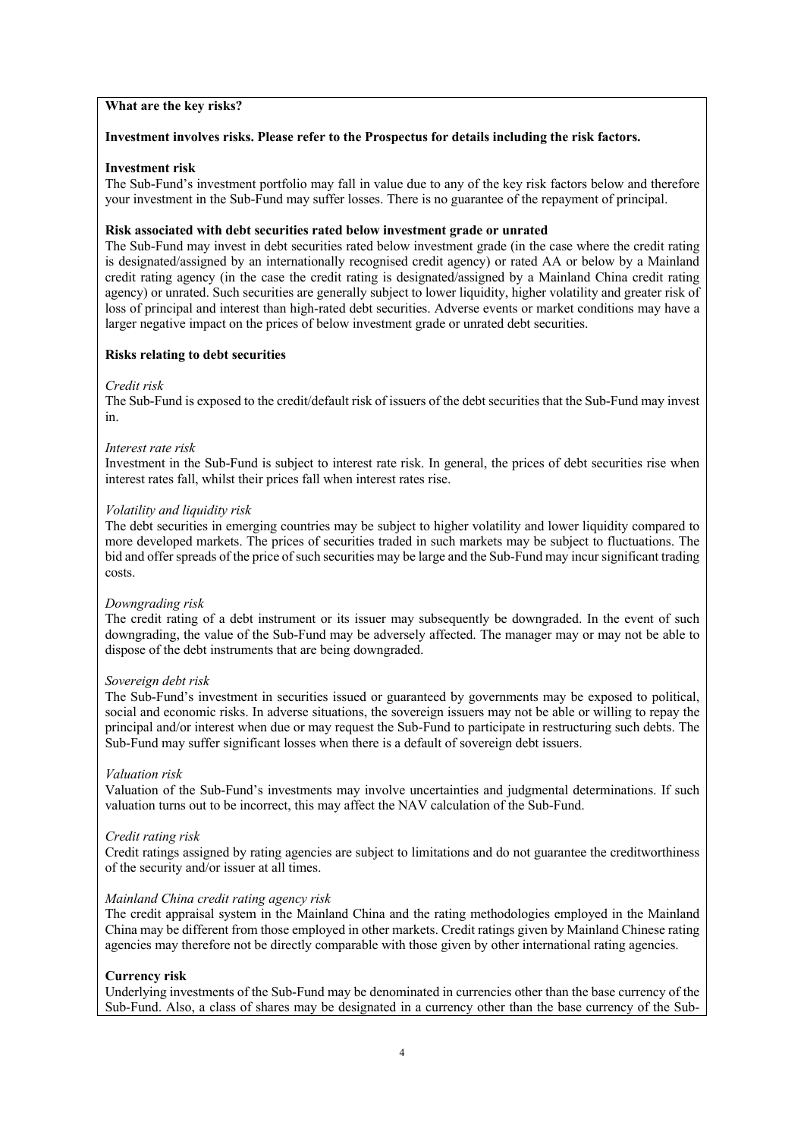### **What are the key risks?**

### **Investment involves risks. Please refer to the Prospectus for details including the risk factors.**

#### **Investment risk**

The Sub-Fund's investment portfolio may fall in value due to any of the key risk factors below and therefore your investment in the Sub-Fund may suffer losses. There is no guarantee of the repayment of principal.

#### **Risk associated with debt securities rated below investment grade or unrated**

The Sub-Fund may invest in debt securities rated below investment grade (in the case where the credit rating is designated/assigned by an internationally recognised credit agency) or rated AA or below by a Mainland credit rating agency (in the case the credit rating is designated/assigned by a Mainland China credit rating agency) or unrated. Such securities are generally subject to lower liquidity, higher volatility and greater risk of loss of principal and interest than high-rated debt securities. Adverse events or market conditions may have a larger negative impact on the prices of below investment grade or unrated debt securities.

#### **Risks relating to debt securities**

#### *Credit risk*

The Sub-Fund is exposed to the credit/default risk of issuers of the debt securities that the Sub-Fund may invest in.

#### *Interest rate risk*

Investment in the Sub-Fund is subject to interest rate risk. In general, the prices of debt securities rise when interest rates fall, whilst their prices fall when interest rates rise.

#### *Volatility and liquidity risk*

The debt securities in emerging countries may be subject to higher volatility and lower liquidity compared to more developed markets. The prices of securities traded in such markets may be subject to fluctuations. The bid and offer spreads of the price of such securities may be large and the Sub-Fund may incur significant trading costs.

#### *Downgrading risk*

The credit rating of a debt instrument or its issuer may subsequently be downgraded. In the event of such downgrading, the value of the Sub-Fund may be adversely affected. The manager may or may not be able to dispose of the debt instruments that are being downgraded.

#### *Sovereign debt risk*

The Sub-Fund's investment in securities issued or guaranteed by governments may be exposed to political, social and economic risks. In adverse situations, the sovereign issuers may not be able or willing to repay the principal and/or interest when due or may request the Sub-Fund to participate in restructuring such debts. The Sub-Fund may suffer significant losses when there is a default of sovereign debt issuers.

#### *Valuation risk*

Valuation of the Sub-Fund's investments may involve uncertainties and judgmental determinations. If such valuation turns out to be incorrect, this may affect the NAV calculation of the Sub-Fund.

#### *Credit rating risk*

Credit ratings assigned by rating agencies are subject to limitations and do not guarantee the creditworthiness of the security and/or issuer at all times.

#### *Mainland China credit rating agency risk*

The credit appraisal system in the Mainland China and the rating methodologies employed in the Mainland China may be different from those employed in other markets. Credit ratings given by Mainland Chinese rating agencies may therefore not be directly comparable with those given by other international rating agencies.

#### **Currency risk**

Underlying investments of the Sub-Fund may be denominated in currencies other than the base currency of the Sub-Fund. Also, a class of shares may be designated in a currency other than the base currency of the Sub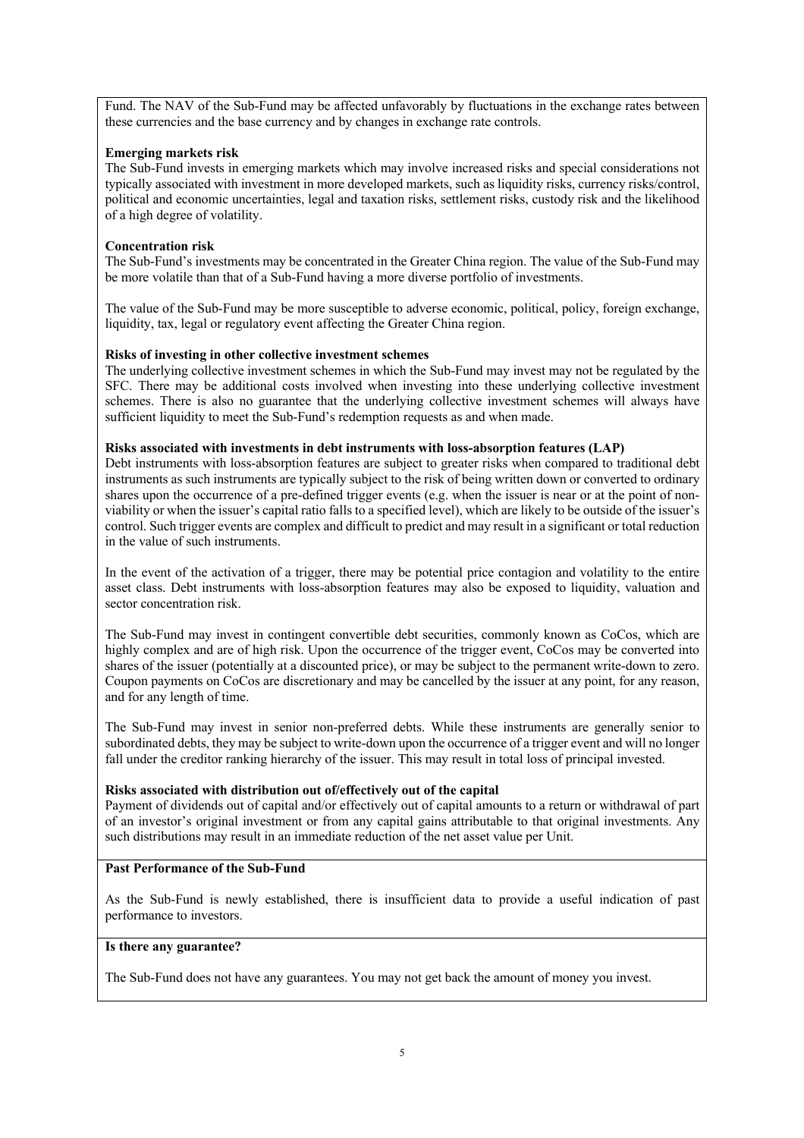Fund. The NAV of the Sub-Fund may be affected unfavorably by fluctuations in the exchange rates between these currencies and the base currency and by changes in exchange rate controls.

# **Emerging markets risk**

The Sub-Fund invests in emerging markets which may involve increased risks and special considerations not typically associated with investment in more developed markets, such as liquidity risks, currency risks/control, political and economic uncertainties, legal and taxation risks, settlement risks, custody risk and the likelihood of a high degree of volatility.

# **Concentration risk**

The Sub-Fund's investments may be concentrated in the Greater China region. The value of the Sub-Fund may be more volatile than that of a Sub-Fund having a more diverse portfolio of investments.

The value of the Sub-Fund may be more susceptible to adverse economic, political, policy, foreign exchange, liquidity, tax, legal or regulatory event affecting the Greater China region.

## **Risks of investing in other collective investment schemes**

The underlying collective investment schemes in which the Sub-Fund may invest may not be regulated by the SFC. There may be additional costs involved when investing into these underlying collective investment schemes. There is also no guarantee that the underlying collective investment schemes will always have sufficient liquidity to meet the Sub-Fund's redemption requests as and when made.

## **Risks associated with investments in debt instruments with loss-absorption features (LAP)**

Debt instruments with loss-absorption features are subject to greater risks when compared to traditional debt instruments as such instruments are typically subject to the risk of being written down or converted to ordinary shares upon the occurrence of a pre-defined trigger events (e.g. when the issuer is near or at the point of nonviability or when the issuer's capital ratio falls to a specified level), which are likely to be outside of the issuer's control. Such trigger events are complex and difficult to predict and may result in a significant or total reduction in the value of such instruments.

In the event of the activation of a trigger, there may be potential price contagion and volatility to the entire asset class. Debt instruments with loss-absorption features may also be exposed to liquidity, valuation and sector concentration risk.

The Sub-Fund may invest in contingent convertible debt securities, commonly known as CoCos, which are highly complex and are of high risk. Upon the occurrence of the trigger event, CoCos may be converted into shares of the issuer (potentially at a discounted price), or may be subject to the permanent write-down to zero. Coupon payments on CoCos are discretionary and may be cancelled by the issuer at any point, for any reason, and for any length of time.

The Sub-Fund may invest in senior non-preferred debts. While these instruments are generally senior to subordinated debts, they may be subject to write-down upon the occurrence of a trigger event and will no longer fall under the creditor ranking hierarchy of the issuer. This may result in total loss of principal invested.

## **Risks associated with distribution out of/effectively out of the capital**

Payment of dividends out of capital and/or effectively out of capital amounts to a return or withdrawal of part of an investor's original investment or from any capital gains attributable to that original investments. Any such distributions may result in an immediate reduction of the net asset value per Unit.

# **Past Performance of the Sub-Fund**

As the Sub-Fund is newly established, there is insufficient data to provide a useful indication of past performance to investors.

## **Is there any guarantee?**

The Sub-Fund does not have any guarantees. You may not get back the amount of money you invest.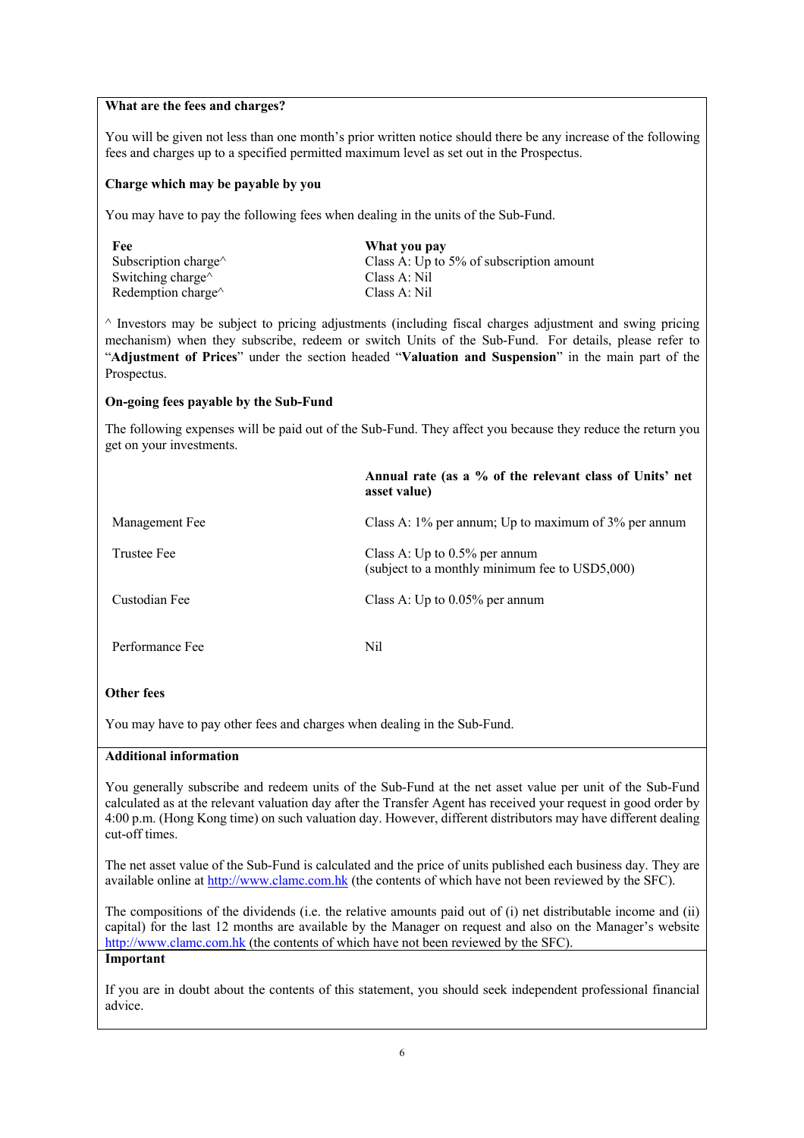## **What are the fees and charges?**

You will be given not less than one month's prior written notice should there be any increase of the following fees and charges up to a specified permitted maximum level as set out in the Prospectus.

# **Charge which may be payable by you**

You may have to pay the following fees when dealing in the units of the Sub-Fund.

| What you pay                             |
|------------------------------------------|
| Class A: Up to 5% of subscription amount |
| Class A: Nil                             |
| Class A: Nil                             |
|                                          |

 $\land$  Investors may be subject to pricing adjustments (including fiscal charges adjustment and swing pricing mechanism) when they subscribe, redeem or switch Units of the Sub-Fund. For details, please refer to "**Adjustment of Prices**" under the section headed "**Valuation and Suspension**" in the main part of the Prospectus.

## **On-going fees payable by the Sub-Fund**

The following expenses will be paid out of the Sub-Fund. They affect you because they reduce the return you get on your investments.

|                 | Annual rate (as a % of the relevant class of Units' net<br>asset value)            |
|-----------------|------------------------------------------------------------------------------------|
| Management Fee  | Class A: $1\%$ per annum; Up to maximum of $3\%$ per annum                         |
| Trustee Fee     | Class A: Up to $0.5\%$ per annum<br>(subject to a monthly minimum fee to USD5,000) |
| Custodian Fee   | Class A: Up to $0.05\%$ per annum                                                  |
| Performance Fee | Nil                                                                                |

# **Other fees**

You may have to pay other fees and charges when dealing in the Sub-Fund.

## **Additional information**

You generally subscribe and redeem units of the Sub-Fund at the net asset value per unit of the Sub-Fund calculated as at the relevant valuation day after the Transfer Agent has received your request in good order by 4:00 p.m. (Hong Kong time) on such valuation day. However, different distributors may have different dealing cut-off times.

The net asset value of the Sub-Fund is calculated and the price of units published each business day. They are available online at http://www.clamc.com.hk (the contents of which have not been reviewed by the SFC).

The compositions of the dividends (i.e. the relative amounts paid out of (i) net distributable income and (ii) capital) for the last 12 months are available by the Manager on request and also on the Manager's website http://www.clamc.com.hk (the contents of which have not been reviewed by the SFC).

# **Important**

If you are in doubt about the contents of this statement, you should seek independent professional financial advice.